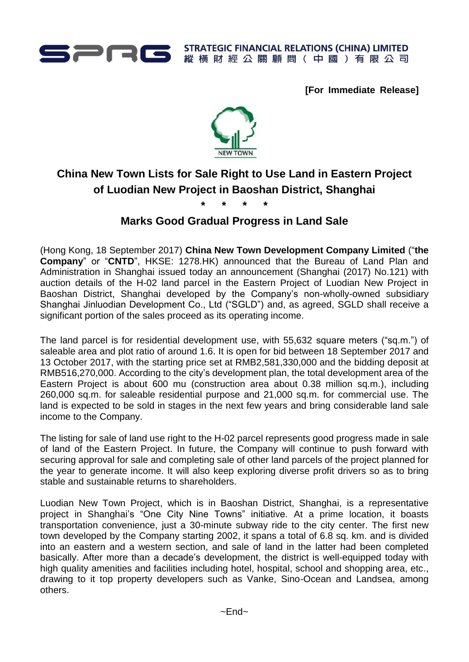

**[For Immediate Release]**



# **China New Town Lists for Sale Right to Use Land in Eastern Project of Luodian New Project in Baoshan District, Shanghai**

**\* \* \* \***

## **Marks Good Gradual Progress in Land Sale**

(Hong Kong, 18 September 2017) **China New Town Development Company Limited** ("**the Company**" or "**CNTD**", HKSE: 1278.HK) announced that the Bureau of Land Plan and Administration in Shanghai issued today an announcement (Shanghai (2017) No.121) with auction details of the H-02 land parcel in the Eastern Project of Luodian New Project in Baoshan District, Shanghai developed by the Company's non-wholly-owned subsidiary Shanghai Jinluodian Development Co., Ltd ("SGLD") and, as agreed, SGLD shall receive a significant portion of the sales proceed as its operating income.

The land parcel is for residential development use, with 55,632 square meters ("sq.m.") of saleable area and plot ratio of around 1.6. It is open for bid between 18 September 2017 and 13 October 2017, with the starting price set at RMB2,581,330,000 and the bidding deposit at RMB516,270,000. According to the city's development plan, the total development area of the Eastern Project is about 600 mu (construction area about 0.38 million sq.m.), including 260,000 sq.m. for saleable residential purpose and 21,000 sq.m. for commercial use. The land is expected to be sold in stages in the next few years and bring considerable land sale income to the Company.

The listing for sale of land use right to the H-02 parcel represents good progress made in sale of land of the Eastern Project. In future, the Company will continue to push forward with securing approval for sale and completing sale of other land parcels of the project planned for the year to generate income. It will also keep exploring diverse profit drivers so as to bring stable and sustainable returns to shareholders.

Luodian New Town Project, which is in Baoshan District, Shanghai, is a representative project in Shanghai's "One City Nine Towns" initiative. At a prime location, it boasts transportation convenience, just a 30-minute subway ride to the city center. The first new town developed by the Company starting 2002, it spans a total of 6.8 sq. km. and is divided into an eastern and a western section, and sale of land in the latter had been completed basically. After more than a decade's development, the district is well-equipped today with high quality amenities and facilities including hotel, hospital, school and shopping area, etc., drawing to it top property developers such as Vanke, Sino-Ocean and Landsea, among others.